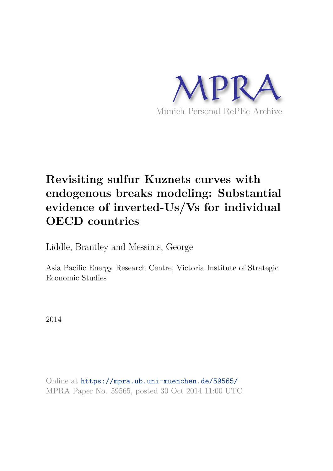

# **Revisiting sulfur Kuznets curves with endogenous breaks modeling: Substantial evidence of inverted-Us/Vs for individual OECD countries**

Liddle, Brantley and Messinis, George

Asia Pacific Energy Research Centre, Victoria Institute of Strategic Economic Studies

2014

Online at https://mpra.ub.uni-muenchen.de/59565/ MPRA Paper No. 59565, posted 30 Oct 2014 11:00 UTC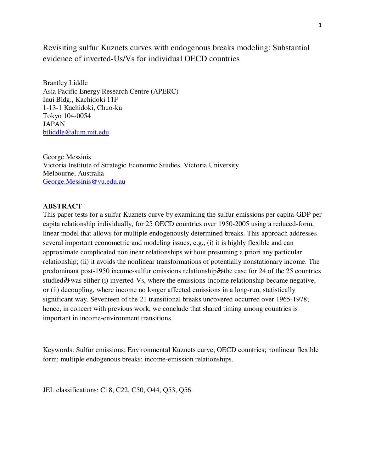Revisiting sulfur Kuznets curves with endogenous breaks modeling: Substantial evidence of inverted-Us/Vs for individual OECD countries

Brantley Liddle Asia Pacific Energy Research Centre (APERC) Inui Bldg., Kachidoki 11F 1-13-1 Kachidoki, Chuo-ku Tokyo 104-0054 JAPAN btliddle@alum.mit.edu

George Messinis Victoria Institute of Strategic Economic Studies, Victoria University Melbourne, Australia George.Messinis@vu.edu.au

### **ABSTRACT**

This paper tests for a sulfur Kuznets curve by examining the sulfur emissions per capita-GDP per capita relationship individually, for 25 OECD countries over 1950-2005 using a reduced-form, linear model that allows for multiple endogenously determined breaks. This approach addresses several important econometric and modeling issues, e.g., (i) it is highly flexible and can approximate complicated nonlinear relationships without presuming a priori any particular relationship; (ii) it avoids the nonlinear transformations of potentially nonstationary income. The predominant post-1950 income-sulfur emissions relationship  $\frac{1}{2}$  the case for 24 of the 25 countries studied $\partial y$  was either (i) inverted-Vs, where the emissions-income relationship became negative, or (ii) decoupling, where income no longer affected emissions in a long-run, statistically significant way. Seventeen of the 21 transitional breaks uncovered occurred over 1965-1978; hence, in concert with previous work, we conclude that shared timing among countries is important in income-environment transitions.

Keywords: Sulfur emissions; Environmental Kuznets curve; OECD countries; nonlinear flexible form; multiple endogenous breaks; income-emission relationships.

JEL classifications: C18, C22, C50, O44, Q53, Q56.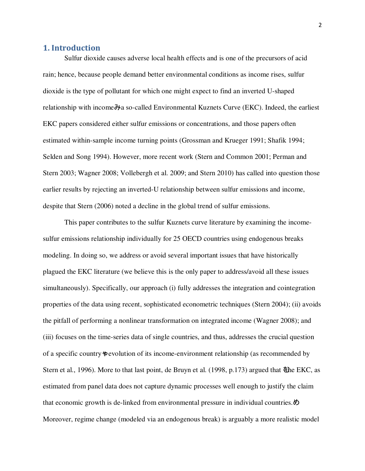## **1. Introduction**

Sulfur dioxide causes adverse local health effects and is one of the precursors of acid rain; hence, because people demand better environmental conditions as income rises, sulfur dioxide is the type of pollutant for which one might expect to find an inverted U-shaped relationship with income  $\partial A$  so-called Environmental Kuznets Curve (EKC). Indeed, the earliest EKC papers considered either sulfur emissions or concentrations, and those papers often estimated within-sample income turning points (Grossman and Krueger 1991; Shafik 1994; Selden and Song 1994). However, more recent work (Stern and Common 2001; Perman and Stern 2003; Wagner 2008; Vollebergh et al. 2009; and Stern 2010) has called into question those earlier results by rejecting an inverted-U relationship between sulfur emissions and income, despite that Stern (2006) noted a decline in the global trend of sulfur emissions.

 This paper contributes to the sulfur Kuznets curve literature by examining the incomesulfur emissions relationship individually for 25 OECD countries using endogenous breaks modeling. In doing so, we address or avoid several important issues that have historically plagued the EKC literature (we believe this is the only paper to address/avoid all these issues simultaneously). Specifically, our approach (i) fully addresses the integration and cointegration properties of the data using recent, sophisticated econometric techniques (Stern 2004); (ii) avoids the pitfall of performing a nonlinear transformation on integrated income (Wagner 2008); and (iii) focuses on the time-series data of single countries, and thus, addresses the crucial question of a specific country's evolution of its income-environment relationship (as recommended by Stern et al., 1996). More to that last point, de Bruyn et al. (1998, p.173) argued that  $\ddot{\phi}$  the EKC, as estimated from panel data does not capture dynamic processes well enough to justify the claim that economic growth is de-linked from environmental pressure in individual countries. $\phi$ Moreover, regime change (modeled via an endogenous break) is arguably a more realistic model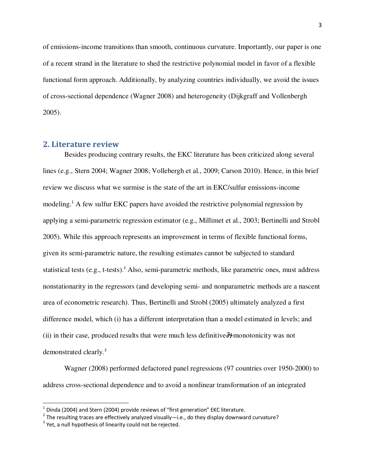of emissions-income transitions than smooth, continuous curvature. Importantly, our paper is one of a recent strand in the literature to shed the restrictive polynomial model in favor of a flexible functional form approach. Additionally, by analyzing countries individually, we avoid the issues of cross-sectional dependence (Wagner 2008) and heterogeneity (Dijkgraff and Vollenbergh 2005).

### **2. Literature review**

 Besides producing contrary results, the EKC literature has been criticized along several lines (e.g., Stern 2004; Wagner 2008; Vollebergh et al., 2009; Carson 2010). Hence, in this brief review we discuss what we surmise is the state of the art in EKC/sulfur emissions-income modeling.<sup>1</sup> A few sulfur EKC papers have avoided the restrictive polynomial regression by applying a semi-parametric regression estimator (e.g., Millimet et al., 2003; Bertinelli and Strobl 2005). While this approach represents an improvement in terms of flexible functional forms, given its semi-parametric nature, the resulting estimates cannot be subjected to standard statistical tests (e.g., t-tests).<sup>2</sup> Also, semi-parametric methods, like parametric ones, must address nonstationarity in the regressors (and developing semi- and nonparametric methods are a nascent area of econometric research). Thus, Bertinelli and Strobl (2005) ultimately analyzed a first difference model, which (i) has a different interpretation than a model estimated in levels; and (ii) in their case, produced results that were much less definitive  $\lambda$  monotonicity was not demonstrated clearly.<sup>3</sup>

Wagner (2008) performed defactored panel regressions (97 countries over 1950-2000) to address cross-sectional dependence and to avoid a nonlinear transformation of an integrated

 $\overline{a}$ 

 $^1$  Dinda (2004) and Stern (2004) provide reviews of "first generation" EKC literature.

<sup>&</sup>lt;sup>2</sup> The resulting traces are effectively analyzed visually—i.e., do they display downward curvature?

 $3$  Yet, a null hypothesis of linearity could not be rejected.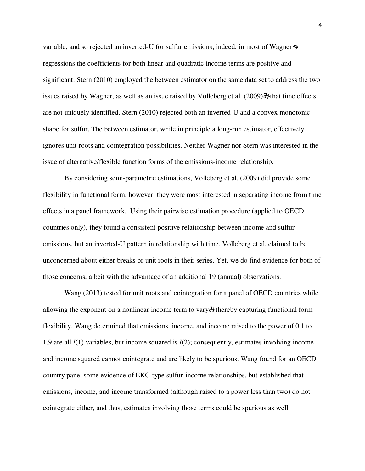variable, and so rejected an inverted-U for sulfur emissions; indeed, in most of Wagner  $\phi$ regressions the coefficients for both linear and quadratic income terms are positive and significant. Stern (2010) employed the between estimator on the same data set to address the two issues raised by Wagner, as well as an issue raised by Volleberg et al.  $(2009)$  H that time effects are not uniquely identified. Stern (2010) rejected both an inverted-U and a convex monotonic shape for sulfur. The between estimator, while in principle a long-run estimator, effectively ignores unit roots and cointegration possibilities. Neither Wagner nor Stern was interested in the issue of alternative/flexible function forms of the emissions-income relationship.

 By considering semi-parametric estimations, Volleberg et al. (2009) did provide some flexibility in functional form; however, they were most interested in separating income from time effects in a panel framework. Using their pairwise estimation procedure (applied to OECD countries only), they found a consistent positive relationship between income and sulfur emissions, but an inverted-U pattern in relationship with time. Volleberg et al. claimed to be unconcerned about either breaks or unit roots in their series. Yet, we do find evidence for both of those concerns, albeit with the advantage of an additional 19 (annual) observations.

Wang (2013) tested for unit roots and cointegration for a panel of OECD countries while allowing the exponent on a nonlinear income term to vary  $\forall$  thereby capturing functional form flexibility. Wang determined that emissions, income, and income raised to the power of 0.1 to 1.9 are all *I*(1) variables, but income squared is *I*(2); consequently, estimates involving income and income squared cannot cointegrate and are likely to be spurious. Wang found for an OECD country panel some evidence of EKC-type sulfur-income relationships, but established that emissions, income, and income transformed (although raised to a power less than two) do not cointegrate either, and thus, estimates involving those terms could be spurious as well.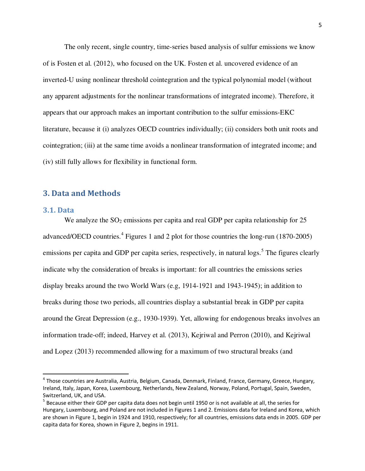The only recent, single country, time-series based analysis of sulfur emissions we know of is Fosten et al. (2012), who focused on the UK. Fosten et al. uncovered evidence of an inverted-U using nonlinear threshold cointegration and the typical polynomial model (without any apparent adjustments for the nonlinear transformations of integrated income). Therefore, it appears that our approach makes an important contribution to the sulfur emissions-EKC literature, because it (i) analyzes OECD countries individually; (ii) considers both unit roots and cointegration; (iii) at the same time avoids a nonlinear transformation of integrated income; and (iv) still fully allows for flexibility in functional form.

# **3. Data and Methods**

### **3.1. Data**

 $\overline{a}$ 

We analyze the  $SO_2$  emissions per capita and real GDP per capita relationship for 25 advanced/OECD countries.<sup>4</sup> Figures 1 and 2 plot for those countries the long-run (1870-2005) emissions per capita and GDP per capita series, respectively, in natural logs.<sup>5</sup> The figures clearly indicate why the consideration of breaks is important: for all countries the emissions series display breaks around the two World Wars (e.g, 1914-1921 and 1943-1945); in addition to breaks during those two periods, all countries display a substantial break in GDP per capita around the Great Depression (e.g., 1930-1939). Yet, allowing for endogenous breaks involves an information trade-off; indeed, Harvey et al. (2013), Kejriwal and Perron (2010), and Kejriwal and Lopez (2013) recommended allowing for a maximum of two structural breaks (and

<sup>&</sup>lt;sup>4</sup> Those countries are Australia, Austria, Belgium, Canada, Denmark, Finland, France, Germany, Greece, Hungary, Ireland, Italy, Japan, Korea, Luxembourg, Netherlands, New Zealand, Norway, Poland, Portugal, Spain, Sweden, Switzerland, UK, and USA.

<sup>&</sup>lt;sup>5</sup> Because either their GDP per capita data does not begin until 1950 or is not available at all, the series for Hungary, Luxembourg, and Poland are not included in Figures 1 and 2. Emissions data for Ireland and Korea, which are shown in Figure 1, begin in 1924 and 1910, respectively; for all countries, emissions data ends in 2005. GDP per capita data for Korea, shown in Figure 2, begins in 1911.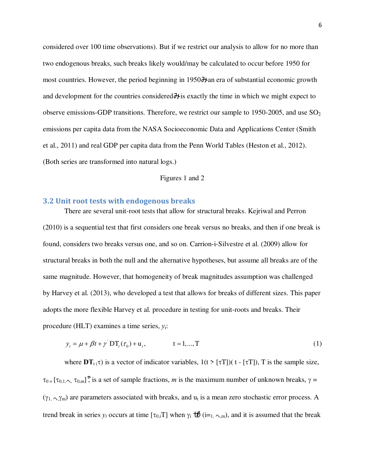considered over 100 time observations). But if we restrict our analysis to allow for no more than two endogenous breaks, such breaks likely would/may be calculated to occur before 1950 for most countries. However, the period beginning in 1950 $\lambda$ an era of substantial economic growth and development for the countries considered  $\lambda$  is exactly the time in which we might expect to observe emissions-GDP transitions. Therefore, we restrict our sample to 1950-2005, and use  $SO<sub>2</sub>$ emissions per capita data from the NASA Socioeconomic Data and Applications Center (Smith et al., 2011) and real GDP per capita data from the Penn World Tables (Heston et al., 2012). (Both series are transformed into natural logs.)

### Figures 1 and 2

### **3.2 Unit root tests with endogenous breaks**

There are several unit-root tests that allow for structural breaks. Kejriwal and Perron (2010) is a sequential test that first considers one break versus no breaks, and then if one break is found, considers two breaks versus one, and so on. Carrion-i-Silvestre et al. (2009) allow for structural breaks in both the null and the alternative hypotheses, but assume all breaks are of the same magnitude. However, that homogeneity of break magnitudes assumption was challenged by Harvey et al. (2013), who developed a test that allows for breaks of different sizes. This paper adopts the more flexible Harvey et al. procedure in testing for unit-roots and breaks. Their procedure (HLT) examines a time series, *yt*:

$$
y_t = \mu + \beta t + \gamma \, DT_t(\tau_0) + u_t, \qquad t = 1, ..., T \tag{1}
$$

where  $DT_{t}(\tau)$  is a vector of indicator variables,  $1(t > [\tau T])(t - [\tau T]), T$  is the sample size,  $\tau_{0}$  =  $[\tau_{0,1}$ ,  $\tau_{0,m}]$ <sup>\*</sup>, is a set of sample fractions, *m* is the maximum number of unknown breaks,  $\gamma$  =  $(\gamma_1, \gamma_m)$  are parameters associated with breaks, and  $u_t$  is a mean zero stochastic error process. A trend break in series  $y_t$  occurs at time  $[\tau_{0,i}]$  when  $\gamma_i \overrightarrow{U}$  (i=<sub>1,  $\gamma_m$ ), and it is assumed that the break</sub>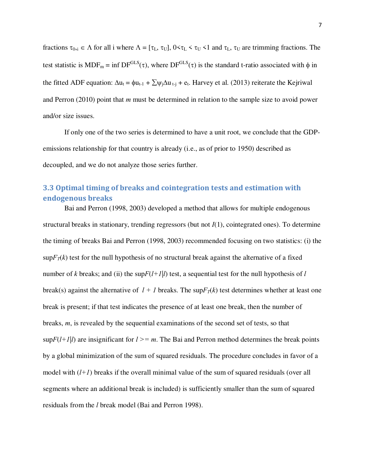fractions  $\tau_{0,i} \in \Lambda$  for all i where  $\Lambda = [\tau_L, \tau_U], 0 \le \tau_L \le \tau_U \le 1$  and  $\tau_L, \tau_U$  are trimming fractions. The test statistic is  $MDF_m = inf DF<sup>GLS</sup>(\tau)$ , where  $DF<sup>GLS</sup>(\tau)$  is the standard t-ratio associated with  $\phi$  in the fitted ADF equation:  $\Delta u_t = \phi u_{t-1} + \sum \psi_i \Delta u_{t-i} + e_t$ . Harvey et al. (2013) reiterate the Kejriwal and Perron (2010) point that *m* must be determined in relation to the sample size to avoid power and/or size issues.

If only one of the two series is determined to have a unit root, we conclude that the GDPemissions relationship for that country is already (i.e., as of prior to 1950) described as decoupled, and we do not analyze those series further.

# **3.3 Optimal timing of breaks and cointegration tests and estimation with endogenous breaks**

Bai and Perron (1998, 2003) developed a method that allows for multiple endogenous structural breaks in stationary, trending regressors (but not *I*(1), cointegrated ones). To determine the timing of breaks Bai and Perron (1998, 2003) recommended focusing on two statistics: (i) the  $\sup F_T(k)$  test for the null hypothesis of no structural break against the alternative of a fixed number of *k* breaks; and (ii) the sup $F(l+1|l)$  test, a sequential test for the null hypothesis of *l* break(s) against the alternative of  $l + l$  breaks. The sup $F_T(k)$  test determines whether at least one break is present; if that test indicates the presence of at least one break, then the number of breaks, *m*, is revealed by the sequential examinations of the second set of tests, so that  $\sup F(l+1|l)$  are insignificant for  $l \geq m$ . The Bai and Perron method determines the break points by a global minimization of the sum of squared residuals. The procedure concludes in favor of a model with  $(l+1)$  breaks if the overall minimal value of the sum of squared residuals (over all segments where an additional break is included) is sufficiently smaller than the sum of squared residuals from the *l* break model (Bai and Perron 1998).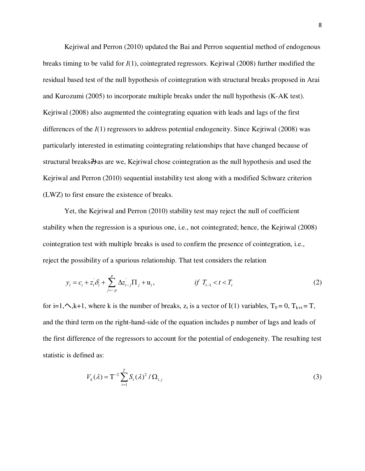Kejriwal and Perron (2010) updated the Bai and Perron sequential method of endogenous breaks timing to be valid for *I*(1), cointegrated regressors. Kejriwal (2008) further modified the residual based test of the null hypothesis of cointegration with structural breaks proposed in Arai and Kurozumi (2005) to incorporate multiple breaks under the null hypothesis (K-AK test). Kejriwal (2008) also augmented the cointegrating equation with leads and lags of the first differences of the *I*(1) regressors to address potential endogeneity. Since Kejriwal (2008) was particularly interested in estimating cointegrating relationships that have changed because of structural breaks $\partial t$  as are we, Kejriwal chose cointegration as the null hypothesis and used the Kejriwal and Perron (2010) sequential instability test along with a modified Schwarz criterion (LWZ) to first ensure the existence of breaks.

Yet, the Kejriwal and Perron (2010) stability test may reject the null of coefficient stability when the regression is a spurious one, i.e., not cointegrated; hence, the Kejriwal (2008) cointegration test with multiple breaks is used to confirm the presence of cointegration, i.e., reject the possibility of a spurious relationship. That test considers the relation

$$
y_t = c_i + z_t \delta_i + \sum_{j=-p}^p \Delta z_{t-j} \Pi_j + \mathbf{u}_t, \qquad \qquad \text{if } T_{t-1} < t < T_t \tag{2}
$$

for i=1, $\triangle$ ,k+1, where k is the number of breaks,  $z_t$  is a vector of I(1) variables,  $T_0 = 0$ ,  $T_{k+t} = T$ , and the third term on the right-hand-side of the equation includes p number of lags and leads of the first difference of the regressors to account for the potential of endogeneity. The resulting test statistic is defined as:

$$
V_k(\lambda) = \mathbf{T}^{-2} \sum_{t=1}^T S_t(\lambda)^2 / \Omega_{i,j}
$$
 (3)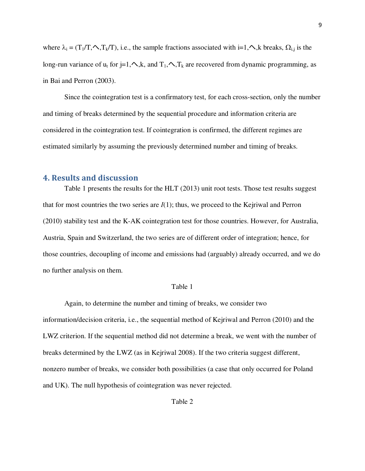where  $\lambda_i = (T_1/T, \land, T_k/T)$ , i.e., the sample fractions associated with i=1, $\land$ , k breaks,  $\Omega_{i,j}$  is the long-run variance of  $u_t$  for j=1, $\wedge$ ,k, and  $T_1$ , $\wedge$ , $T_k$  are recovered from dynamic programming, as in Bai and Perron (2003).

Since the cointegration test is a confirmatory test, for each cross-section, only the number and timing of breaks determined by the sequential procedure and information criteria are considered in the cointegration test. If cointegration is confirmed, the different regimes are estimated similarly by assuming the previously determined number and timing of breaks.

### **4. Results and discussion**

Table 1 presents the results for the HLT (2013) unit root tests. Those test results suggest that for most countries the two series are  $I(1)$ ; thus, we proceed to the Kejriwal and Perron (2010) stability test and the K-AK cointegration test for those countries. However, for Australia, Austria, Spain and Switzerland, the two series are of different order of integration; hence, for those countries, decoupling of income and emissions had (arguably) already occurred, and we do no further analysis on them.

#### Table 1

Again, to determine the number and timing of breaks, we consider two information/decision criteria, i.e., the sequential method of Kejriwal and Perron (2010) and the LWZ criterion. If the sequential method did not determine a break, we went with the number of breaks determined by the LWZ (as in Kejriwal 2008). If the two criteria suggest different, nonzero number of breaks, we consider both possibilities (a case that only occurred for Poland and UK). The null hypothesis of cointegration was never rejected.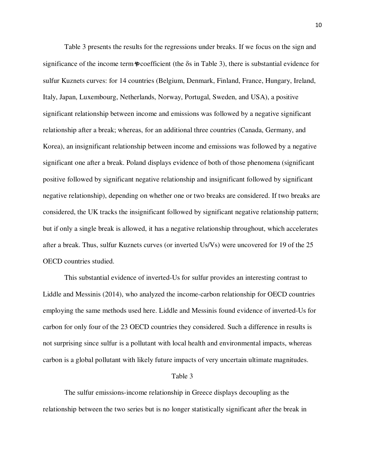Table 3 presents the results for the regressions under breaks. If we focus on the sign and significance of the income term  $\phi$  coefficient (the  $\delta s$  in Table 3), there is substantial evidence for sulfur Kuznets curves: for 14 countries (Belgium, Denmark, Finland, France, Hungary, Ireland, Italy, Japan, Luxembourg, Netherlands, Norway, Portugal, Sweden, and USA), a positive significant relationship between income and emissions was followed by a negative significant relationship after a break; whereas, for an additional three countries (Canada, Germany, and Korea), an insignificant relationship between income and emissions was followed by a negative significant one after a break. Poland displays evidence of both of those phenomena (significant positive followed by significant negative relationship and insignificant followed by significant negative relationship), depending on whether one or two breaks are considered. If two breaks are considered, the UK tracks the insignificant followed by significant negative relationship pattern; but if only a single break is allowed, it has a negative relationship throughout, which accelerates after a break. Thus, sulfur Kuznets curves (or inverted Us/Vs) were uncovered for 19 of the 25 OECD countries studied.

This substantial evidence of inverted-Us for sulfur provides an interesting contrast to Liddle and Messinis (2014), who analyzed the income-carbon relationship for OECD countries employing the same methods used here. Liddle and Messinis found evidence of inverted-Us for carbon for only four of the 23 OECD countries they considered. Such a difference in results is not surprising since sulfur is a pollutant with local health and environmental impacts, whereas carbon is a global pollutant with likely future impacts of very uncertain ultimate magnitudes.

### Table 3

The sulfur emissions-income relationship in Greece displays decoupling as the relationship between the two series but is no longer statistically significant after the break in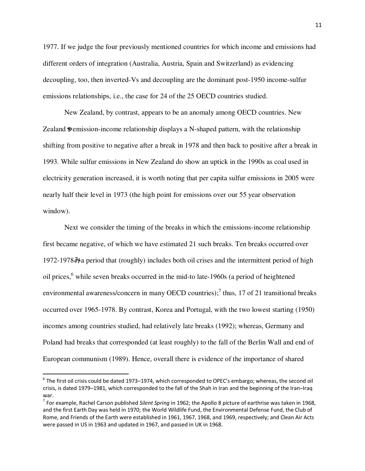1977. If we judge the four previously mentioned countries for which income and emissions had different orders of integration (Australia, Austria, Spain and Switzerland) as evidencing decoupling, too, then inverted-Vs and decoupling are the dominant post-1950 income-sulfur emissions relationships, i.e., the case for 24 of the 25 OECD countries studied.

New Zealand, by contrast, appears to be an anomaly among OECD countries. New Zealand \* pemission-income relationship displays a N-shaped pattern, with the relationship shifting from positive to negative after a break in 1978 and then back to positive after a break in 1993. While sulfur emissions in New Zealand do show an uptick in the 1990s as coal used in electricity generation increased, it is worth noting that per capita sulfur emissions in 2005 were nearly half their level in 1973 (the high point for emissions over our 55 year observation window).

Next we consider the timing of the breaks in which the emissions-income relationship first became negative, of which we have estimated 21 such breaks. Ten breaks occurred over 1972-1978 $\lambda$  period that (roughly) includes both oil crises and the intermittent period of high oil prices,<sup>6</sup> while seven breaks occurred in the mid-to late-1960s (a period of heightened environmental awareness/concern in many OECD countries);<sup>7</sup> thus, 17 of 21 transitional breaks occurred over 1965-1978. By contrast, Korea and Portugal, with the two lowest starting (1950) incomes among countries studied, had relatively late breaks (1992); whereas, Germany and Poland had breaks that corresponded (at least roughly) to the fall of the Berlin Wall and end of European communism (1989). Hence, overall there is evidence of the importance of shared

 $\overline{a}$ 

 $^6$  The first oil crisis could be dated 1973–1974, which corresponded to OPEC's embargo; whereas, the second oil crisis, is dated 1979–1981, which corresponded to the fall of the Shah in Iran and the beginning of the Iran–Iraq war.

<sup>7</sup> For example, Rachel Carson published *Silent Spring* in 1962; the Apollo 8 picture of earthrise was taken in 1968, and the first Earth Day was held in 1970; the World Wildlife Fund, the Environmental Defense Fund, the Club of Rome, and Friends of the Earth were established in 1961, 1967, 1968, and 1969, respectively; and Clean Air Acts were passed in US in 1963 and updated in 1967, and passed in UK in 1968.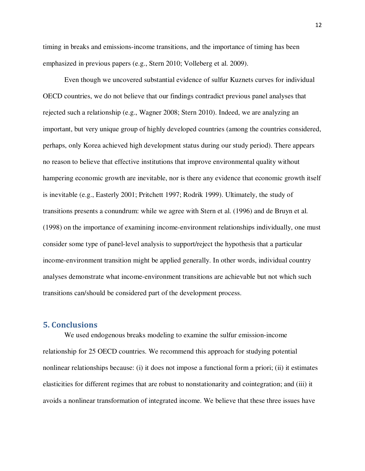timing in breaks and emissions-income transitions, and the importance of timing has been emphasized in previous papers (e.g., Stern 2010; Volleberg et al. 2009).

Even though we uncovered substantial evidence of sulfur Kuznets curves for individual OECD countries, we do not believe that our findings contradict previous panel analyses that rejected such a relationship (e.g., Wagner 2008; Stern 2010). Indeed, we are analyzing an important, but very unique group of highly developed countries (among the countries considered, perhaps, only Korea achieved high development status during our study period). There appears no reason to believe that effective institutions that improve environmental quality without hampering economic growth are inevitable, nor is there any evidence that economic growth itself is inevitable (e.g., Easterly 2001; Pritchett 1997; Rodrik 1999). Ultimately, the study of transitions presents a conundrum: while we agree with Stern et al. (1996) and de Bruyn et al. (1998) on the importance of examining income-environment relationships individually, one must consider some type of panel-level analysis to support/reject the hypothesis that a particular income-environment transition might be applied generally. In other words, individual country analyses demonstrate what income-environment transitions are achievable but not which such transitions can/should be considered part of the development process.

### **5. Conclusions**

We used endogenous breaks modeling to examine the sulfur emission-income relationship for 25 OECD countries. We recommend this approach for studying potential nonlinear relationships because: (i) it does not impose a functional form a priori; (ii) it estimates elasticities for different regimes that are robust to nonstationarity and cointegration; and (iii) it avoids a nonlinear transformation of integrated income. We believe that these three issues have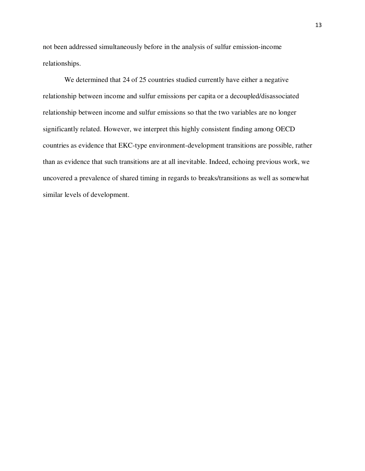not been addressed simultaneously before in the analysis of sulfur emission-income relationships.

We determined that 24 of 25 countries studied currently have either a negative relationship between income and sulfur emissions per capita or a decoupled/disassociated relationship between income and sulfur emissions so that the two variables are no longer significantly related. However, we interpret this highly consistent finding among OECD countries as evidence that EKC-type environment-development transitions are possible, rather than as evidence that such transitions are at all inevitable. Indeed, echoing previous work, we uncovered a prevalence of shared timing in regards to breaks/transitions as well as somewhat similar levels of development.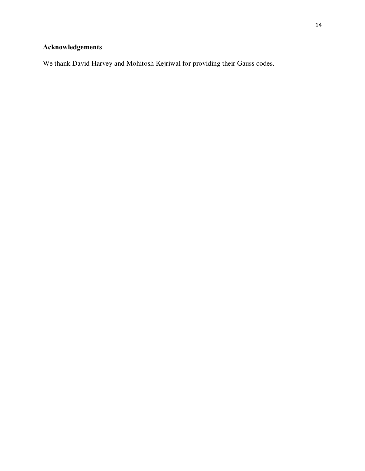# **Acknowledgements**

We thank David Harvey and Mohitosh Kejriwal for providing their Gauss codes.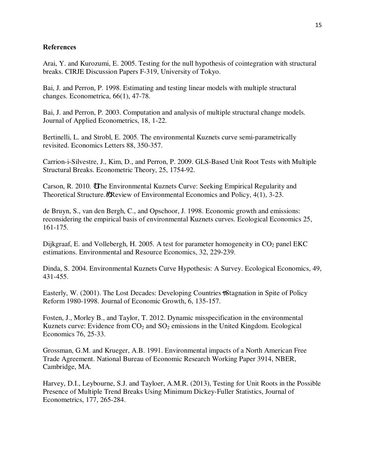### **References**

Arai, Y. and Kurozumi, E. 2005. Testing for the null hypothesis of cointegration with structural breaks. CIRJE Discussion Papers F-319, University of Tokyo.

Bai, J. and Perron, P. 1998. Estimating and testing linear models with multiple structural changes. Econometrica, 66(1), 47-78.

Bai, J. and Perron, P. 2003. Computation and analysis of multiple structural change models. Journal of Applied Econometrics, 18, 1-22.

Bertinelli, L. and Strobl, E. 2005. The environmental Kuznets curve semi-parametrically revisited. Economics Letters 88, 350-357.

Carrion-i-Silvestre, J., Kim, D., and Perron, P. 2009. GLS-Based Unit Root Tests with Multiple Structural Breaks. Econometric Theory, 25, 1754-92.

Carson, R. 2010. The Environmental Kuznets Curve: Seeking Empirical Regularity and Theoretical Structure. *Review of Environmental Economics and Policy, 4(1), 3-23.* 

de Bruyn, S., van den Bergh, C., and Opschoor, J. 1998. Economic growth and emissions: reconsidering the empirical basis of environmental Kuznets curves. Ecological Economics 25, 161-175.

Dijkgraaf, E. and Vollebergh, H. 2005. A test for parameter homogeneity in  $CO<sub>2</sub>$  panel EKC estimations. Environmental and Resource Economics, 32, 229-239.

Dinda, S. 2004. Environmental Kuznets Curve Hypothesis: A Survey. Ecological Economics, 49, 431-455.

Easterly, W. (2001). The Lost Decades: Developing Countries  $\frac{1}{2}$  Stagnation in Spite of Policy Reform 1980-1998. Journal of Economic Growth, 6, 135-157.

Fosten, J., Morley B., and Taylor, T. 2012. Dynamic misspecification in the environmental Kuznets curve: Evidence from  $CO<sub>2</sub>$  and  $SO<sub>2</sub>$  emissions in the United Kingdom. Ecological Economics 76, 25-33.

Grossman, G.M. and Krueger, A.B. 1991. Environmental impacts of a North American Free Trade Agreement. National Bureau of Economic Research Working Paper 3914, NBER, Cambridge, MA.

Harvey, D.I., Leybourne, S.J. and Tayloer, A.M.R. (2013), Testing for Unit Roots in the Possible Presence of Multiple Trend Breaks Using Minimum Dickey-Fuller Statistics, Journal of Econometrics, 177, 265-284.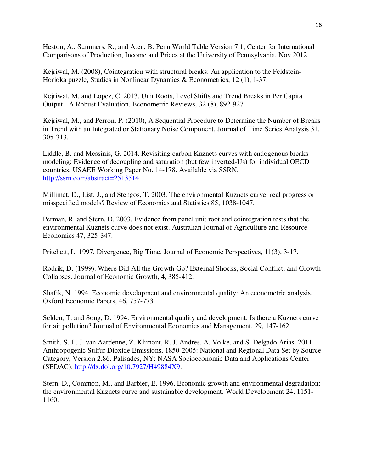Heston, A., Summers, R., and Aten, B. Penn World Table Version 7.1, Center for International Comparisons of Production, Income and Prices at the University of Pennsylvania, Nov 2012.

Kejriwal, M. (2008), Cointegration with structural breaks: An application to the Feldstein-Horioka puzzle, Studies in Nonlinear Dynamics & Econometrics, 12 (1), 1-37.

Kejriwal, M. and Lopez, C. 2013. Unit Roots, Level Shifts and Trend Breaks in Per Capita Output - A Robust Evaluation. Econometric Reviews, 32 (8), 892-927.

Kejriwal, M., and Perron, P. (2010), A Sequential Procedure to Determine the Number of Breaks in Trend with an Integrated or Stationary Noise Component, Journal of Time Series Analysis 31, 305-313.

Liddle, B. and Messinis, G. 2014. Revisiting carbon Kuznets curves with endogenous breaks modeling: Evidence of decoupling and saturation (but few inverted-Us) for individual OECD countries. USAEE Working Paper No. 14-178. Available via SSRN. http://ssrn.com/abstract=2513514

Millimet, D., List, J., and Stengos, T. 2003. The environmental Kuznets curve: real progress or misspecified models? Review of Economics and Statistics 85, 1038-1047.

Perman, R. and Stern, D. 2003. Evidence from panel unit root and cointegration tests that the environmental Kuznets curve does not exist. Australian Journal of Agriculture and Resource Economics 47, 325-347.

Pritchett, L. 1997. Divergence, Big Time. Journal of Economic Perspectives, 11(3), 3-17.

Rodrik, D. (1999). Where Did All the Growth Go? External Shocks, Social Conflict, and Growth Collapses. Journal of Economic Growth, 4, 385-412.

Shafik, N. 1994. Economic development and environmental quality: An econometric analysis. Oxford Economic Papers, 46, 757-773.

Selden, T. and Song, D. 1994. Environmental quality and development: Is there a Kuznets curve for air pollution? Journal of Environmental Economics and Management, 29, 147-162.

Smith, S. J., J. van Aardenne, Z. Klimont, R. J. Andres, A. Volke, and S. Delgado Arias. 2011. Anthropogenic Sulfur Dioxide Emissions, 1850-2005: National and Regional Data Set by Source Category, Version 2.86. Palisades, NY: NASA Socioeconomic Data and Applications Center (SEDAC). http://dx.doi.org/10.7927/H49884X9.

Stern, D., Common, M., and Barbier, E. 1996. Economic growth and environmental degradation: the environmental Kuznets curve and sustainable development. World Development 24, 1151- 1160.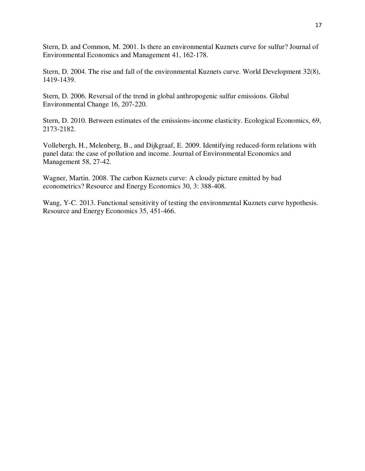Stern, D. and Common, M. 2001. Is there an environmental Kuznets curve for sulfur? Journal of Environmental Economics and Management 41, 162-178.

Stern, D. 2004. The rise and fall of the environmental Kuznets curve. World Development 32(8), 1419-1439.

Stern, D. 2006. Reversal of the trend in global anthropogenic sulfur emissions. Global Environmental Change 16, 207-220.

Stern, D. 2010. Between estimates of the emissions-income elasticity. Ecological Economics, 69, 2173-2182.

Vollebergh, H., Melenberg, B., and Dijkgraaf, E. 2009. Identifying reduced-form relations with panel data: the case of pollution and income. Journal of Environmental Economics and Management 58, 27-42.

Wagner, Martin. 2008. The carbon Kuznets curve: A cloudy picture emitted by bad econometrics? Resource and Energy Economics 30, 3: 388-408.

Wang, Y-C. 2013. Functional sensitivity of testing the environmental Kuznets curve hypothesis. Resource and Energy Economics 35, 451-466.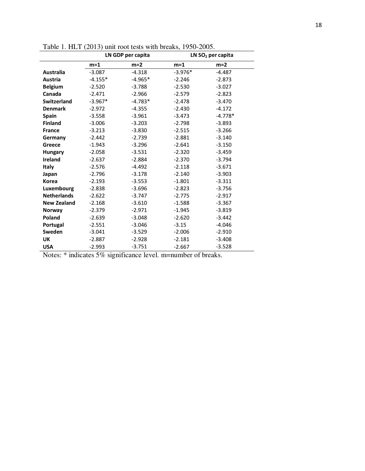|                    | LN GDP per capita |           |           | LN $SO2$ per capita |
|--------------------|-------------------|-----------|-----------|---------------------|
|                    | $m=1$             | $m=2$     | $m=1$     | $m=2$               |
| <b>Australia</b>   | $-3.087$          | $-4.318$  | $-3.976*$ | $-4.487$            |
| Austria            | $-4.155*$         | $-4.965*$ | $-2.246$  | $-2.873$            |
| <b>Belgium</b>     | $-2.520$          | $-3.788$  | $-2.530$  | $-3.027$            |
| Canada             | $-2.471$          | $-2.966$  | $-2.579$  | $-2.823$            |
| <b>Switzerland</b> | $-3.967*$         | $-4.783*$ | $-2.478$  | $-3.470$            |
| <b>Denmark</b>     | $-2.972$          | $-4.355$  | $-2.430$  | $-4.172$            |
| <b>Spain</b>       | $-3.558$          | $-3.961$  | $-3.473$  | $-4.778*$           |
| <b>Finland</b>     | $-3.006$          | $-3.203$  | $-2.798$  | $-3.893$            |
| <b>France</b>      | $-3.213$          | $-3.830$  | $-2.515$  | $-3.266$            |
| Germany            | $-2.442$          | $-2.739$  | $-2.881$  | $-3.140$            |
| Greece             | $-1.943$          | $-3.296$  | $-2.641$  | $-3.150$            |
| <b>Hungary</b>     | $-2.058$          | $-3.531$  | $-2.320$  | $-3.459$            |
| <b>Ireland</b>     | $-2.637$          | $-2.884$  | $-2.370$  | $-3.794$            |
| <b>Italy</b>       | $-2.576$          | $-4.492$  | $-2.118$  | $-3.671$            |
| Japan              | $-2.796$          | $-3.178$  | $-2.140$  | $-3.903$            |
| Korea              | $-2.193$          | $-3.553$  | $-1.801$  | $-3.311$            |
| Luxembourg         | $-2.838$          | $-3.696$  | $-2.823$  | $-3.756$            |
| <b>Netherlands</b> | $-2.622$          | $-3.747$  | $-2.775$  | $-2.917$            |
| <b>New Zealand</b> | $-2.168$          | $-3.610$  | $-1.588$  | $-3.367$            |
| Norway             | $-2.379$          | $-2.971$  | $-1.945$  | $-3.819$            |
| Poland             | $-2.639$          | $-3.048$  | $-2.620$  | $-3.442$            |
| Portugal           | $-2.551$          | $-3.046$  | $-3.15$   | $-4.046$            |
| Sweden             | $-3.041$          | $-3.529$  | $-2.006$  | $-2.910$            |
| UK                 | $-2.887$          | $-2.928$  | $-2.181$  | $-3.408$            |
| <b>USA</b>         | $-2.993$          | $-3.751$  | $-2.667$  | $-3.528$            |

Table 1. HLT (2013) unit root tests with breaks, 1950-2005.

Notes: \* indicates 5% significance level. m=number of breaks.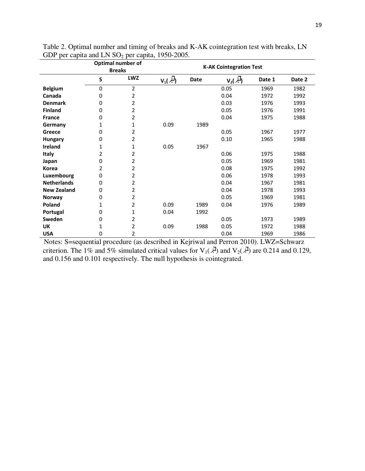|                    | Optimal number of<br><b>Breaks</b> |                | <b>K-AK Cointegration Test</b>       |      |                          |        |        |  |
|--------------------|------------------------------------|----------------|--------------------------------------|------|--------------------------|--------|--------|--|
|                    | $\mathsf S$                        | <b>LWZ</b>     | $\underline{V}_1(\vec{\mathcal{X}})$ | Date | $V_2(\bar{\mathcal{X}})$ | Date 1 | Date 2 |  |
| <b>Belgium</b>     | 0                                  | $\overline{2}$ |                                      |      | 0.05                     | 1969   | 1982   |  |
| Canada             | 0                                  | 2              |                                      |      | 0.04                     | 1972   | 1992   |  |
| <b>Denmark</b>     | 0                                  | 2              |                                      |      | 0.03                     | 1976   | 1993   |  |
| <b>Finland</b>     | 0                                  | 2              |                                      |      | 0.05                     | 1976   | 1991   |  |
| <b>France</b>      | 0                                  | 2              |                                      |      | 0.04                     | 1975   | 1988   |  |
| Germany            | 1                                  | 1              | 0.09                                 | 1989 |                          |        |        |  |
| Greece             | 0                                  | 2              |                                      |      | 0.05                     | 1967   | 1977   |  |
| <b>Hungary</b>     | 0                                  | 2              |                                      |      | 0.10                     | 1965   | 1988   |  |
| Ireland            | 1                                  | 1              | 0.05                                 | 1967 |                          |        |        |  |
| Italy              | 2                                  | 2              |                                      |      | 0.06                     | 1975   | 1988   |  |
| Japan              | 0                                  | 2              |                                      |      | 0.05                     | 1969   | 1981   |  |
| <b>Korea</b>       | 2                                  | 2              |                                      |      | 0.08                     | 1975   | 1992   |  |
| Luxembourg         | 0                                  | 2              |                                      |      | 0.06                     | 1978   | 1993   |  |
| <b>Netherlands</b> | 0                                  | 2              |                                      |      | 0.04                     | 1967   | 1981   |  |
| <b>New Zealand</b> | 0                                  | 2              |                                      |      | 0.04                     | 1978   | 1993   |  |
| <b>Norway</b>      | 0                                  | 2              |                                      |      | 0.05                     | 1969   | 1981   |  |
| Poland             | 1                                  | 2              | 0.09                                 | 1989 | 0.04                     | 1976   | 1989   |  |
| Portugal           | 0                                  | 1              | 0.04                                 | 1992 |                          |        |        |  |
| Sweden             | 0                                  | 2              |                                      |      | 0.05                     | 1973   | 1989   |  |
| <b>UK</b>          | 1                                  | 2              | 0.09                                 | 1988 | 0.05                     | 1972   | 1988   |  |
| <b>USA</b>         | 0                                  | 2              |                                      |      | 0.04                     | 1969   | 1986   |  |

Table 2. Optimal number and timing of breaks and K-AK cointegration test with breaks, LN GDP per capita and LN SO<sub>2</sub> per capita, 1950-2005.

Notes: S=sequential procedure (as described in Kejriwal and Perron 2010). LWZ=Schwarz criterion. The 1% and 5% simulated critical values for  $V_1(\vec{A})$  and  $V_2(\vec{A})$  are 0.214 and 0.129, and 0.156 and 0.101 respectively. The null hypothesis is cointegrated.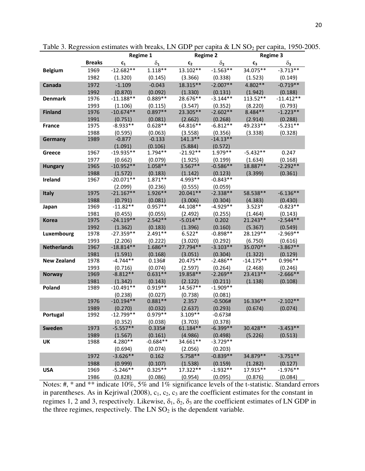|                    |              |                        | Regime 1<br><b>Regime 2</b> |                      | <b>Regime 3</b>       |                     |                       |
|--------------------|--------------|------------------------|-----------------------------|----------------------|-----------------------|---------------------|-----------------------|
|                    | Breaks       | $c_{1}$                | $\delta_{\mathbf{1}}$       | c <sub>2</sub>       | $\delta_2$            | $C_3$               | $\delta_3$            |
| <b>Belgium</b>     | 1969         | $-12.682**$            | $1.118**$                   | 13.102**             | $-1.563**$            | 34.075**            | $-3.713**$            |
|                    | 1982         | (1.320)                | (0.145)                     | (3.366)              | (0.338)               | (1.523)             | (0.149)               |
| Canada             | 1972         | $-1.109$               | $-0.043$                    | 18.315**             | $-2.007**$            | 4.802**             | $-0.719**$            |
|                    | 1992         | (0.870)                | (0.092)                     | (1.330)              | (0.131)               | (1.942)             | (0.188)               |
| Denmark            | 1976         | $-11.188**$            | $0.889**$                   | 28.676**             | $-3.144**$            | 113.52**            | $-11.412**$           |
|                    | 1993         | (1.106)                | (0.115)                     | (3.547)              | (0.352)               | (8.220)             | (0.793)               |
| <b>Finland</b>     | 1976         | $-10.674**$            | $0.897**$                   | 23.305**             | $-2.602**$            | $8.484**$           | $-1.223**$            |
|                    | 1991         | (0.751)                | (0.081)                     | (2.662)              | (0.268)               | (2.914)             | (0.288)               |
| France             | 1975         | $-8.933**$             | $0.628**$                   | 64.816**             | $-6.812**$            | 49.233**            | $-5.231**$            |
|                    | 1988         | (0.595)                | (0.063)                     | (3.558)              | (0.356)               | (3.338)             | (0.328)               |
| Germany            | 1989         | $-0.877$               | $-0.133$                    | $141.3**$            | $-14.13**$            |                     |                       |
|                    |              | (1.091)                | (0.106)                     | (5.884)              | (0.572)               |                     |                       |
| Greece             | 1967         | $-19.935**$            | $1.794**$                   | $-21.92**$           | $1.979**$             | $-5.432**$          | 0.247                 |
| <b>Hungary</b>     | 1977<br>1965 | (0.662)<br>$-10.952**$ | (0.079)<br>$1.058**$        | (1.925)<br>$3.567**$ | (0.199)<br>$-0.586**$ | (1.634)<br>18.887** | (0.168)<br>$-2.292**$ |
|                    | 1988         | (1.572)                | (0.183)                     | (1.142)              | (0.123)               | (3.399)             | (0.361)               |
| Ireland            | 1967         | $-20.071**$            | $1.871**$                   | 4.993**              | $-0.843**$            |                     |                       |
|                    |              | (2.099)                | (0.236)                     | (0.555)              | (0.059)               |                     |                       |
| <b>Italy</b>       | 1975         | $-21.167**$            | $1.926**$                   | 20.041**             | $-2.338**$            | 58.538**            | $-6.136**$            |
|                    | 1988         | (0.791)                | (0.081)                     | (3.006)              | (0.304)               | (4.383)             | (0.430)               |
| Japan              | 1969         | $-11.82**$             | $0.957**$                   | 44.108**             | $-4.929**$            | $3.523*$            | $-0.823**$            |
|                    | 1981         | (0.455)                | (0.055)                     | (2.492)              | (0.255)               | (1.464)             | (0.143)               |
| Korea              | 1975         | $-24.119**$            | $2.542**$                   | $-5.014**$           | 0.202                 | 21.243**            | $-2.544**$            |
|                    | 1992         | (1.362)                | (0.183)                     | (1.396)              | (0.160)               | (5.367)             | (0.549)               |
| Luxembourg         | 1978         | $-27.359**$            | $2.491**$                   | $6.522*$             | $-0.898**$            | 28.129**            | $-2.969**$            |
|                    | 1993         | (2.206)                | (0.222)                     | (3.020)              | (0.292)               | (6.750)             | (0.616)               |
| <b>Netherlands</b> | 1967         | $-18.814**$            | $1.686**$                   | 27.794**             | $-3.103**$            | 35.070**            | $-3.867**$            |
|                    | 1981         | (1.591)                | (0.168)                     | (3.051)              | (0.304)               | (1.322)             | (0.129)               |
| New Zealand        | 1978         | $-4.744**$             | 0.136#                      | 20.475**             | $-2.486**$            | $-14.175**$         | $0.996**$             |
|                    | 1993<br>1969 | (0.716)<br>$-8.812**$  | (0.074)<br>$0.631**$        | (2.597)<br>19.858**  | (0.264)<br>$-2.269**$ | (2.468)<br>23.413** | (0.246)<br>$-2.666**$ |
| <b>Norway</b>      | 1981         | (1.342)                | (0.143)                     | (2.122)              | (0.211)               | (1.138)             | (0.108)               |
| Poland             | 1989         | $-10.491**$            | $0.919**$                   | 14.567**             | $-1.909**$            |                     |                       |
|                    |              | (0.238)                | (0.027)                     | (0.738)              | (0.081)               |                     |                       |
|                    | 1976         | $-10.194**$            | $0.881**$                   | 2.357                | $-0.506#$             | 16.336**            | $-2.102**$            |
|                    | 1989         | (0.270)                | (0.032)                     | (2.637)              | (0.293)               | (0.674)             | (0.074)               |
| Portugal           | 1992         | $-12.799**$            | $0.979**$                   | $3.109**$            | -0.673#               |                     |                       |
|                    |              | (0.352)                | (0.038)                     | (3.703)              | (0.378)               |                     |                       |
| Sweden             | 1973         | $-5.557**$             | 0.335#                      | 61.184**             | $-6.399**$            | 30.428**            | $-3.453**$            |
|                    | 1989         | (1.567)                | (0.161)                     | (4.986)              | (0.498)               | (5.226)             | (0.513)               |
| UK                 | 1988         | 4.280**                | $-0.684**$                  | 34.661**             | $-3.729**$            |                     |                       |
|                    |              | (0.694)                | (0.074)                     | (2.056)              | (0.203)               |                     |                       |
|                    | 1972         | $-3.626**$             | 0.162                       | 5.758**              | $-0.839**$            | 34.879**            | $-3.751**$            |
|                    | 1988         | (0.999)                | (0.107)                     | (1.538)              | (0.159)               | (1.282)             | (0.127)               |
| <b>USA</b>         | 1969         | $-5.246**$             | $0.325**$                   | 17.322**             | $-1.932**$            | 17.915**            | $-1.976**$            |
|                    | 1986         | (0.828)                | (0.086)                     | (0.954)              | (0.095)               | (0.876)             | (0.084)               |

Table 3. Regression estimates with breaks, LN GDP per capita & LN  $SO_2$  per capita, 1950-2005.

Notes: #, \* and \*\* indicate 10%, 5% and 1% significance levels of the t-statistic. Standard errors in parentheses. As in Kejriwal (2008),  $c_1$ ,  $c_2$ ,  $c_3$  are the coefficient estimates for the constant in regimes 1, 2 and 3, respectively. Likewise,  $\delta_1$ ,  $\delta_2$ ,  $\delta_3$  are the coefficient estimates of LN GDP in the three regimes, respectively. The LN  $SO<sub>2</sub>$  is the dependent variable.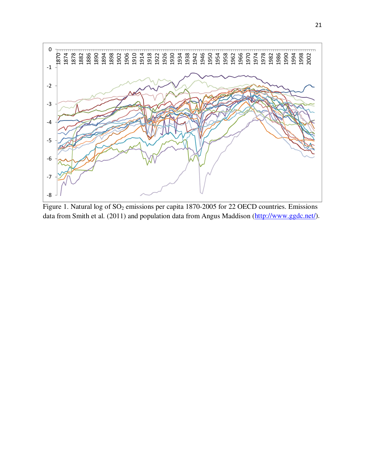

Figure 1. Natural log of  $SO_2$  emissions per capita 1870-2005 for 22 OECD countries. Emissions data from Smith et al. (2011) and population data from Angus Maddison (http://www.ggdc.net/).